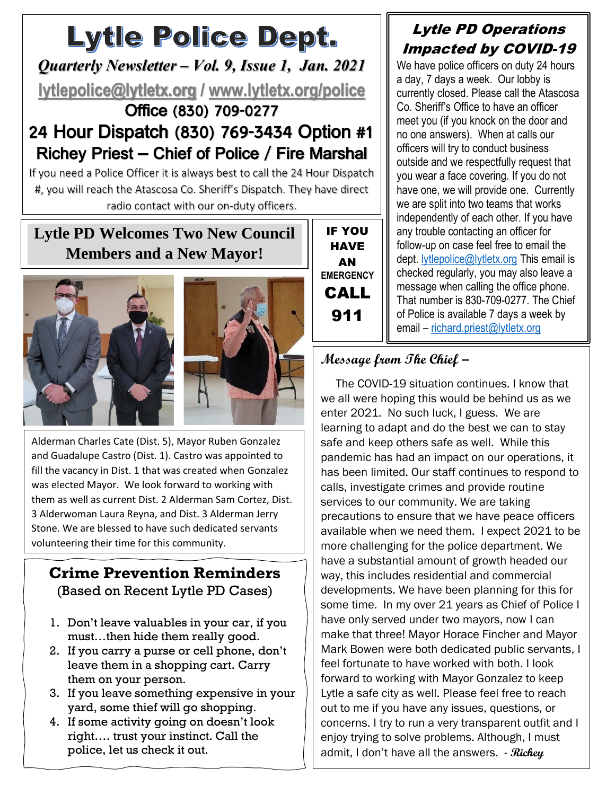# Lytle Police Dept.

*Quarterly Newsletter – Vol. 9, Issue 1, Jan. 2021* **[lytlepolice@lytletx.org](mailto:lytlepolice@lytletx.org) / [www.lytletx.org/police](http://www.lytletx.org/police)** Office (830) 709-0277

# 24 Hour Dispatch (830) 769-3434 Option #1 Richey Priest – Chief of Police / Fire Marshal

If you need a Police Officer it is always best to call the 24 Hour Dispatch #, you will reach the Atascosa Co. Sheriff's Dispatch. They have direct radio contact with our on-duty officers.

# **Lytle PD Welcomes Two New Council Members and a New Mayor!**





 and Guadalupe Castro (Dist. 1). Castro was appointed to Alderman Charles Cate (Dist. 5), Mayor Ruben Gonzalez fill the vacancy in Dist. 1 that was created when Gonzalez was elected Mayor. We look forward to working with them as well as current Dist. 2 Alderman Sam Cortez, Dist. 3 Alderwoman Laura Reyna, and Dist. 3 Alderman Jerry Stone. We are blessed to have such dedicated servants volunteering their time for this community.

#### **Crime Prevention Reminders** (Based on Recent Lytle PD Cases)

- 1. Don't leave valuables in your car, if you must…then hide them really good.
- 2. If you carry a purse or cell phone, don't leave them in a shopping cart. Carry them on your person.
- 3. If you leave something expensive in your yard, some thief will go shopping.
- 4. If some activity going on doesn't look right…. trust your instinct. Call the police, let us check it out.

## Lytle PD Operations Impacted by COVID-19

We have police officers on duty 24 hours a day, 7 days a week. Our lobby is currently closed. Please call the Atascosa Co. Sheriff's Office to have an officer meet you (if you knock on the door and no one answers). When at calls our officers will try to conduct business outside and we respectfully request that you wear a face covering. If you do not have one, we will provide one. Currently we are split into two teams that works independently of each other. If you have any trouble contacting an officer for follow-up on case feel free to email the dept. [lytlepolice@lytletx.org](mailto:lytlepolice@lytletx.org) This email is checked regularly, you may also leave a message when calling the office phone. That number is 830-709-0277. The Chief of Police is available 7 days a week by email – [richard.priest@lytletx.org](mailto:richard.priest@lytletx.org)

# **Message from The Chief –**

IF YOU HAVE AN **EMERGENCY** CALL

911

 The COVID-19 situation continues. I know that we all were hoping this would be behind us as we enter 2021. No such luck, I guess. We are learning to adapt and do the best we can to stay safe and keep others safe as well. While this pandemic has had an impact on our operations, it has been limited. Our staff continues to respond to calls, investigate crimes and provide routine services to our community. We are taking precautions to ensure that we have peace officers available when we need them. I expect 2021 to be more challenging for the police department. We have a substantial amount of growth headed our way, this includes residential and commercial developments. We have been planning for this for some time. In my over 21 years as Chief of Police I have only served under two mayors, now I can make that three! Mayor Horace Fincher and Mayor Mark Bowen were both dedicated public servants, I feel fortunate to have worked with both. I look forward to working with Mayor Gonzalez to keep Lytle a safe city as well. Please feel free to reach out to me if you have any issues, questions, or concerns. I try to run a very transparent outfit and I enjoy trying to solve problems. Although, I must admit, I don't have all the answers. - **Richey**